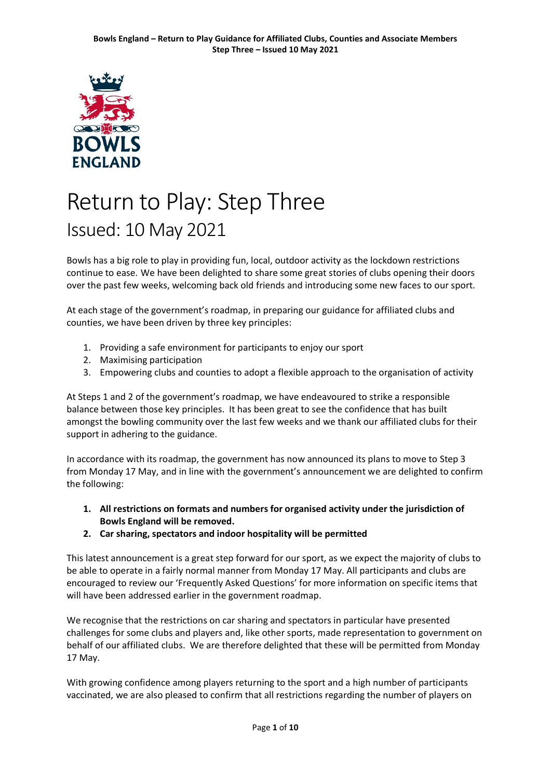

# Return to Play: Step Three Issued: 10 May 2021

Bowls has a big role to play in providing fun, local, outdoor activity as the lockdown restrictions continue to ease. We have been delighted to share some great stories of clubs opening their doors over the past few weeks, welcoming back old friends and introducing some new faces to our sport.

At each stage of the government's roadmap, in preparing our guidance for affiliated clubs and counties, we have been driven by three key principles:

- 1. Providing a safe environment for participants to enjoy our sport
- 2. Maximising participation
- 3. Empowering clubs and counties to adopt a flexible approach to the organisation of activity

At Steps 1 and 2 of the government's roadmap, we have endeavoured to strike a responsible balance between those key principles. It has been great to see the confidence that has built amongst the bowling community over the last few weeks and we thank our affiliated clubs for their support in adhering to the guidance.

In accordance with its roadmap, the government has now announced its plans to move to Step 3 from Monday 17 May, and in line with the government's announcement we are delighted to confirm the following:

- **1. All restrictions on formats and numbers for organised activity under the jurisdiction of Bowls England will be removed.**
- **2. Car sharing, spectators and indoor hospitality will be permitted**

This latest announcement is a great step forward for our sport, as we expect the majority of clubs to be able to operate in a fairly normal manner from Monday 17 May. All participants and clubs are encouraged to review our 'Frequently Asked Questions' for more information on specific items that will have been addressed earlier in the government roadmap.

We recognise that the restrictions on car sharing and spectators in particular have presented challenges for some clubs and players and, like other sports, made representation to government on behalf of our affiliated clubs. We are therefore delighted that these will be permitted from Monday 17 May.

With growing confidence among players returning to the sport and a high number of participants vaccinated, we are also pleased to confirm that all restrictions regarding the number of players on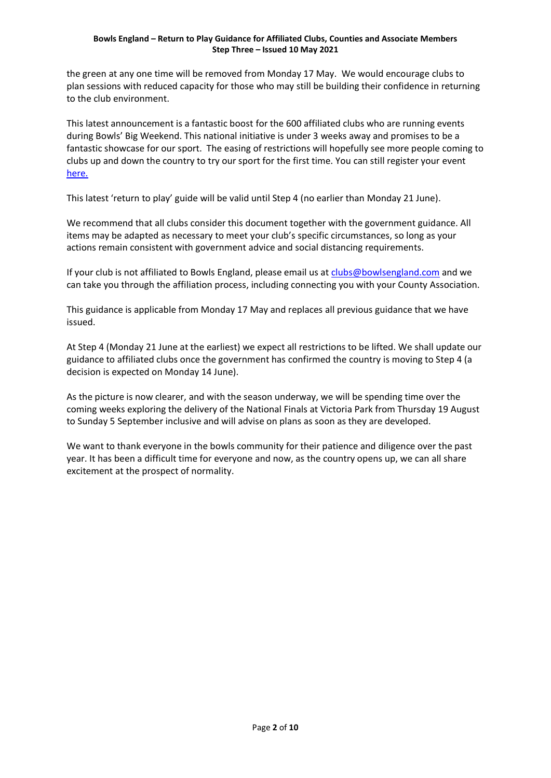#### **Bowls England – Return to Play Guidance for Affiliated Clubs, Counties and Associate Members Step Three – Issued 10 May 2021**

the green at any one time will be removed from Monday 17 May. We would encourage clubs to plan sessions with reduced capacity for those who may still be building their confidence in returning to the club environment.

This latest announcement is a fantastic boost for the 600 affiliated clubs who are running events during Bowls' Big Weekend. This national initiative is under 3 weeks away and promises to be a fantastic showcase for our sport. The easing of restrictions will hopefully see more people coming to clubs up and down the country to try our sport for the first time. You can still register your event [here.](https://www.bowlsbigweekend.com/sign-up/)

This latest 'return to play' guide will be valid until Step 4 (no earlier than Monday 21 June).

We recommend that all clubs consider this document together with the government guidance. All items may be adapted as necessary to meet your club's specific circumstances, so long as your actions remain consistent with government advice and social distancing requirements.

If your club is not affiliated to Bowls England, please email us at [clubs@bowlsengland.com](mailto:clubs@bowlsengland.com) and we can take you through the affiliation process, including connecting you with your County Association.

This guidance is applicable from Monday 17 May and replaces all previous guidance that we have issued.

At Step 4 (Monday 21 June at the earliest) we expect all restrictions to be lifted. We shall update our guidance to affiliated clubs once the government has confirmed the country is moving to Step 4 (a decision is expected on Monday 14 June).

As the picture is now clearer, and with the season underway, we will be spending time over the coming weeks exploring the delivery of the National Finals at Victoria Park from Thursday 19 August to Sunday 5 September inclusive and will advise on plans as soon as they are developed.

We want to thank everyone in the bowls community for their patience and diligence over the past year. It has been a difficult time for everyone and now, as the country opens up, we can all share excitement at the prospect of normality.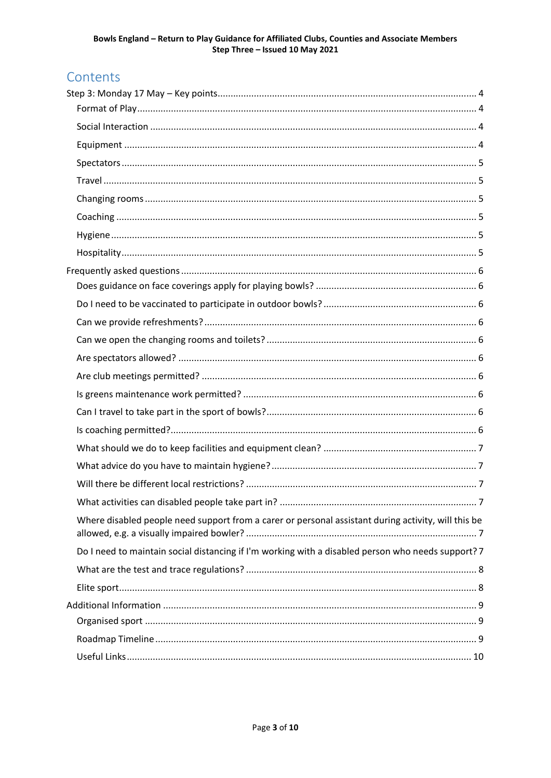# Contents

| Where disabled people need support from a carer or personal assistant during activity, will this be |  |
|-----------------------------------------------------------------------------------------------------|--|
| Do I need to maintain social distancing if I'm working with a disabled person who needs support? 7  |  |
|                                                                                                     |  |
|                                                                                                     |  |
|                                                                                                     |  |
|                                                                                                     |  |
|                                                                                                     |  |
|                                                                                                     |  |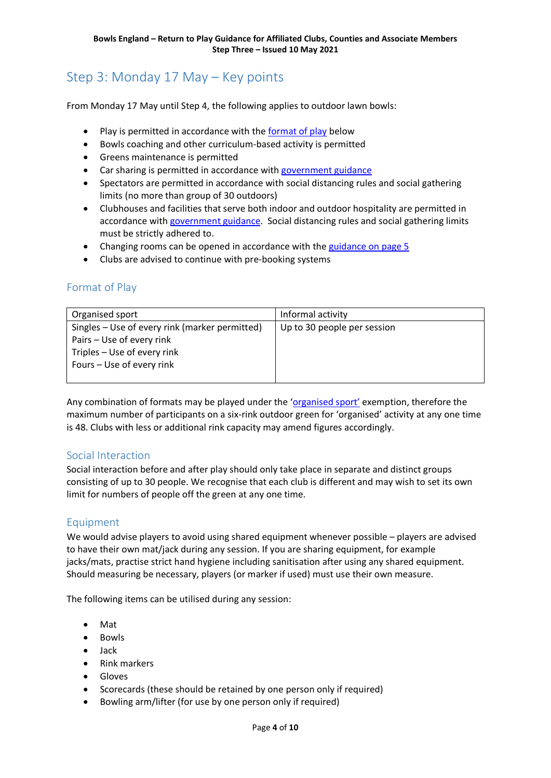# <span id="page-3-0"></span>Step 3: Monday 17 May – Key points

From Monday 17 May until Step 4, the following applies to outdoor lawn bowls:

- Play is permitted in accordance with the [format of play](#page-3-1) below
- Bowls coaching and other curriculum-based activity is permitted
- Greens maintenance is permitted
- Car sharing is permitted in accordance with [government guidance](https://www.gov.uk/guidance/coronavirus-covid-19-safer-travel-guidance-for-passengers)
- Spectators are permitted in accordance with social distancing rules and social gathering limits (no more than group of 30 outdoors)
- Clubhouses and facilities that serve both indoor and outdoor hospitality are permitted in accordance with [government guidance.](https://www.gov.uk/guidance/working-safely-during-coronavirus-covid-19/restaurants-offering-takeaway-or-delivery) Social distancing rules and social gathering limits must be strictly adhered to.
- Changing rooms can be opened in accordance with the [guidance on page 5](#page-4-2)
- Clubs are advised to continue with pre-booking systems

# <span id="page-3-1"></span>Format of Play

| Organised sport                                | Informal activity           |
|------------------------------------------------|-----------------------------|
| Singles – Use of every rink (marker permitted) | Up to 30 people per session |
| Pairs - Use of every rink                      |                             |
| Triples - Use of every rink                    |                             |
| Fours – Use of every rink                      |                             |
|                                                |                             |

Any combination of formats may be played under the ['organised sport'](#page-8-1) exemption, therefore the maximum number of participants on a six-rink outdoor green for 'organised' activity at any one time is 48. Clubs with less or additional rink capacity may amend figures accordingly.

#### <span id="page-3-2"></span>Social Interaction

Social interaction before and after play should only take place in separate and distinct groups consisting of up to 30 people. We recognise that each club is different and may wish to set its own limit for numbers of people off the green at any one time.

# <span id="page-3-3"></span>Equipment

We would advise players to avoid using shared equipment whenever possible – players are advised to have their own mat/jack during any session. If you are sharing equipment, for example jacks/mats, practise strict hand hygiene including sanitisation after using any shared equipment. Should measuring be necessary, players (or marker if used) must use their own measure.

The following items can be utilised during any session:

- Mat
- Bowls
- Jack
- Rink markers
- Gloves
- Scorecards (these should be retained by one person only if required)
- Bowling arm/lifter (for use by one person only if required)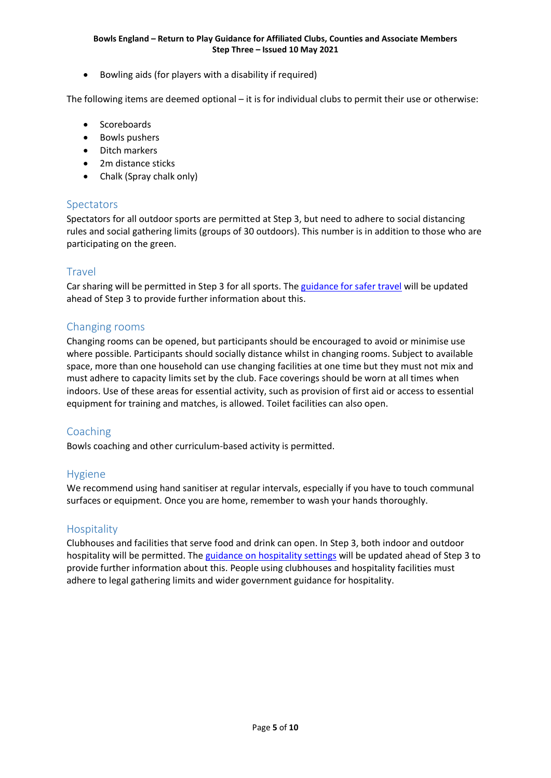• Bowling aids (for players with a disability if required)

The following items are deemed optional – it is for individual clubs to permit their use or otherwise:

- Scoreboards
- Bowls pushers
- Ditch markers
- 2m distance sticks
- Chalk (Spray chalk only)

# <span id="page-4-0"></span>Spectators

Spectators for all outdoor sports are permitted at Step 3, but need to adhere to social distancing rules and social gathering limits (groups of 30 outdoors). This number is in addition to those who are participating on the green.

#### <span id="page-4-1"></span>Travel

Car sharing will be permitted in Step 3 for all sports. Th[e guidance for safer travel](https://www.gov.uk/guidance/coronavirus-covid-19-safer-travel-guidance-for-passengers) will be updated ahead of Step 3 to provide further information about this.

# <span id="page-4-2"></span>Changing rooms

Changing rooms can be opened, but participants should be encouraged to avoid or minimise use where possible. Participants should socially distance whilst in changing rooms. Subject to available space, more than one household can use changing facilities at one time but they must not mix and must adhere to capacity limits set by the club. Face coverings should be worn at all times when indoors. Use of these areas for essential activity, such as provision of first aid or access to essential equipment for training and matches, is allowed. Toilet facilities can also open.

# <span id="page-4-3"></span>Coaching

Bowls coaching and other curriculum-based activity is permitted.

# <span id="page-4-4"></span>Hygiene

We recommend using hand sanitiser at regular intervals, especially if you have to touch communal surfaces or equipment. Once you are home, remember to wash your hands thoroughly.

#### <span id="page-4-5"></span>**Hospitality**

Clubhouses and facilities that serve food and drink can open. In Step 3, both indoor and outdoor hospitality will be permitted. The [guidance on hospitality settings](https://www.gov.uk/guidance/working-safely-during-coronavirus-covid-19/restaurants-offering-takeaway-or-delivery) will be updated ahead of Step 3 to provide further information about this. People using clubhouses and hospitality facilities must adhere to legal gathering limits and wider government guidance for hospitality.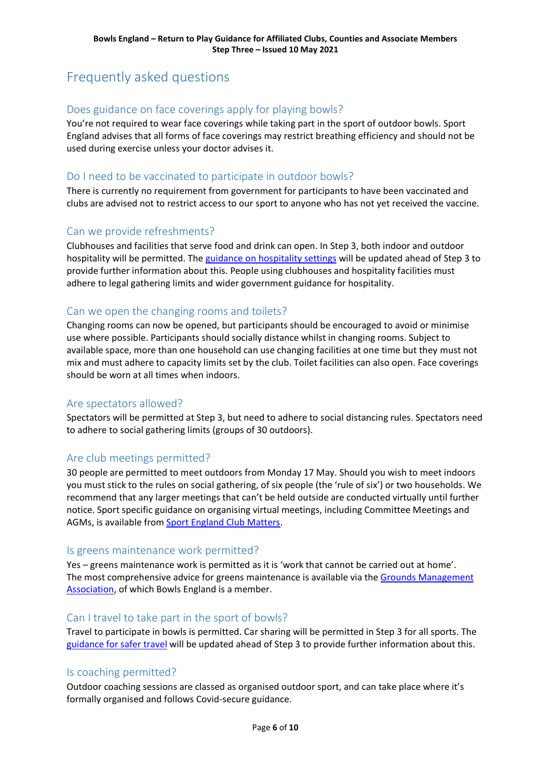# <span id="page-5-0"></span>Frequently asked questions

# <span id="page-5-1"></span>Does guidance on face coverings apply for playing bowls?

You're not required to wear face coverings while taking part in the sport of outdoor bowls. Sport England advises that all forms of face coverings may restrict breathing efficiency and should not be used during exercise unless your doctor advises it.

# <span id="page-5-2"></span>Do I need to be vaccinated to participate in outdoor bowls?

There is currently no requirement from government for participants to have been vaccinated and clubs are advised not to restrict access to our sport to anyone who has not yet received the vaccine.

#### <span id="page-5-3"></span>Can we provide refreshments?

Clubhouses and facilities that serve food and drink can open. In Step 3, both indoor and outdoor hospitality will be permitted. The [guidance on hospitality settings](https://www.gov.uk/guidance/working-safely-during-coronavirus-covid-19/restaurants-offering-takeaway-or-delivery) will be updated ahead of Step 3 to provide further information about this. People using clubhouses and hospitality facilities must adhere to legal gathering limits and wider government guidance for hospitality.

#### <span id="page-5-4"></span>Can we open the changing rooms and toilets?

Changing rooms can now be opened, but participants should be encouraged to avoid or minimise use where possible. Participants should socially distance whilst in changing rooms. Subject to available space, more than one household can use changing facilities at one time but they must not mix and must adhere to capacity limits set by the club. Toilet facilities can also open. Face coverings should be worn at all times when indoors.

#### <span id="page-5-5"></span>Are spectators allowed?

Spectators will be permitted at Step 3, but need to adhere to social distancing rules. Spectators need to adhere to social gathering limits (groups of 30 outdoors).

#### <span id="page-5-6"></span>Are club meetings permitted?

30 people are permitted to meet outdoors from Monday 17 May. Should you wish to meet indoors you must stick to the rules on social gathering, of six people (the 'rule of six') or two households. We recommend that any larger meetings that can't be held outside are conducted virtually until further notice. Sport specific guidance on organising virtual meetings, including Committee Meetings and AGMs, is available from [Sport England Club Matters.](https://www.sportenglandclubmatters.com/)

#### <span id="page-5-7"></span>Is greens maintenance work permitted?

Yes – greens maintenance work is permitted as it is 'work that cannot be carried out at home'. The most comprehensive advice for greens maintenance is available via the Grounds Management [Association,](https://thegma.org.uk/guidance-volunteer-grounds-staff) of which Bowls England is a member.

#### <span id="page-5-8"></span>Can I travel to take part in the sport of bowls?

Travel to participate in bowls is permitted. Car sharing will be permitted in Step 3 for all sports. The [guidance for safer travel](https://www.gov.uk/guidance/coronavirus-covid-19-safer-travel-guidance-for-passengers) will be updated ahead of Step 3 to provide further information about this.

#### <span id="page-5-9"></span>Is coaching permitted?

Outdoor coaching sessions are classed as organised outdoor sport, and can take place where it's formally organised and follows Covid-secure guidance.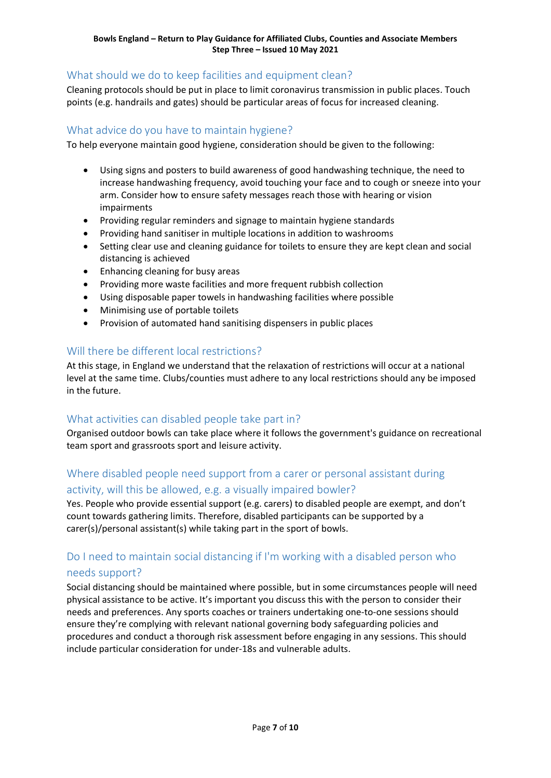# <span id="page-6-0"></span>What should we do to keep facilities and equipment clean?

Cleaning protocols should be put in place to limit coronavirus transmission in public places. Touch points (e.g. handrails and gates) should be particular areas of focus for increased cleaning.

# <span id="page-6-1"></span>What advice do you have to maintain hygiene?

To help everyone maintain good hygiene, consideration should be given to the following:

- Using signs and posters to build awareness of good handwashing technique, the need to increase handwashing frequency, avoid touching your face and to cough or sneeze into your arm. Consider how to ensure safety messages reach those with hearing or vision impairments
- Providing regular reminders and signage to maintain hygiene standards
- Providing hand sanitiser in multiple locations in addition to washrooms
- Setting clear use and cleaning guidance for toilets to ensure they are kept clean and social distancing is achieved
- Enhancing cleaning for busy areas
- Providing more waste facilities and more frequent rubbish collection
- Using disposable paper towels in handwashing facilities where possible
- Minimising use of portable toilets
- Provision of automated hand sanitising dispensers in public places

# <span id="page-6-2"></span>Will there be different local restrictions?

At this stage, in England we understand that the relaxation of restrictions will occur at a national level at the same time. Clubs/counties must adhere to any local restrictions should any be imposed in the future.

# <span id="page-6-3"></span>What activities can disabled people take part in?

Organised outdoor bowls can take place where it follows the government's guidance on recreational team sport and grassroots sport and leisure activity.

# <span id="page-6-4"></span>Where disabled people need support from a carer or personal assistant during activity, will this be allowed, e.g. a visually impaired bowler?

Yes. People who provide essential support (e.g. carers) to disabled people are exempt, and don't count towards gathering limits. Therefore, disabled participants can be supported by a carer(s)/personal assistant(s) while taking part in the sport of bowls.

# <span id="page-6-5"></span>Do I need to maintain social distancing if I'm working with a disabled person who needs support?

Social distancing should be maintained where possible, but in some circumstances people will need physical assistance to be active. It's important you discuss this with the person to consider their needs and preferences. Any sports coaches or trainers undertaking one-to-one sessions should ensure they're complying with relevant national governing body safeguarding policies and procedures and conduct a thorough risk assessment before engaging in any sessions. This should include particular consideration for under-18s and vulnerable adults.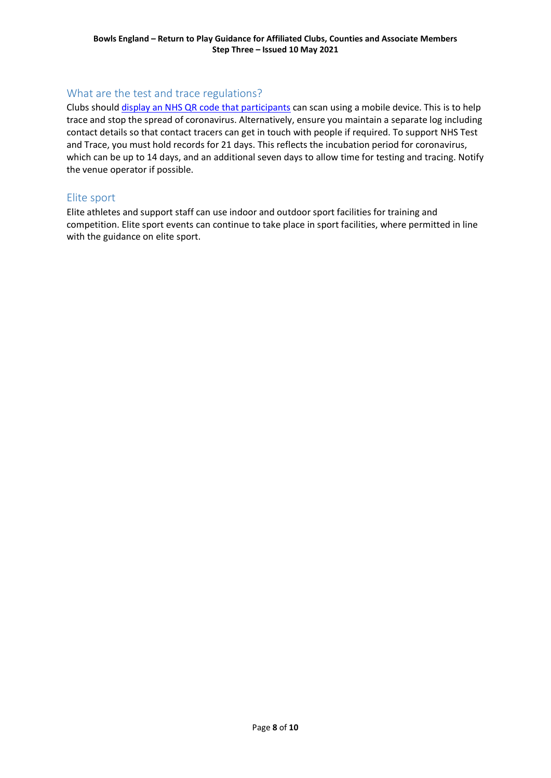# <span id="page-7-0"></span>What are the test and trace regulations?

Clubs should [display an NHS QR code that participants](https://www.gov.uk/create-coronavirus-qr-poster) can scan using a mobile device. This is to help trace and stop the spread of coronavirus. Alternatively, ensure you maintain a separate log including contact details so that contact tracers can get in touch with people if required. To support NHS Test and Trace, you must hold records for 21 days. This reflects the incubation period for coronavirus, which can be up to 14 days, and an additional seven days to allow time for testing and tracing. Notify the venue operator if possible.

# <span id="page-7-1"></span>Elite sport

Elite athletes and support staff can use indoor and outdoor sport facilities for training and competition. Elite sport events can continue to take place in sport facilities, where permitted in line with the guidance on elite sport.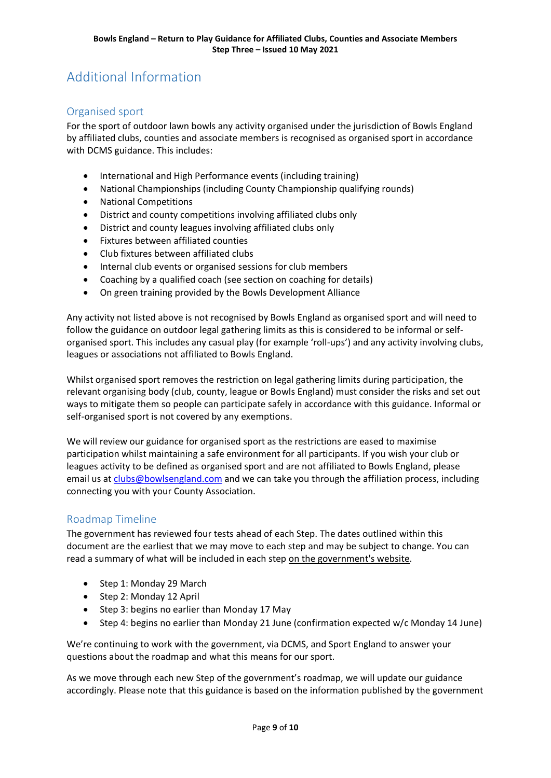# <span id="page-8-0"></span>Additional Information

# <span id="page-8-1"></span>Organised sport

For the sport of outdoor lawn bowls any activity organised under the jurisdiction of Bowls England by affiliated clubs, counties and associate members is recognised as organised sport in accordance with DCMS guidance. This includes:

- International and High Performance events (including training)
- National Championships (including County Championship qualifying rounds)
- National Competitions
- District and county competitions involving affiliated clubs only
- District and county leagues involving affiliated clubs only
- Fixtures between affiliated counties
- Club fixtures between affiliated clubs
- Internal club events or organised sessions for club members
- Coaching by a qualified coach (see section on coaching for details)
- On green training provided by the Bowls Development Alliance

Any activity not listed above is not recognised by Bowls England as organised sport and will need to follow the guidance on outdoor legal gathering limits as this is considered to be informal or selforganised sport. This includes any casual play (for example 'roll-ups') and any activity involving clubs, leagues or associations not affiliated to Bowls England.

Whilst organised sport removes the restriction on legal gathering limits during participation, the relevant organising body (club, county, league or Bowls England) must consider the risks and set out ways to mitigate them so people can participate safely in accordance with this guidance. Informal or self-organised sport is not covered by any exemptions.

We will review our guidance for organised sport as the restrictions are eased to maximise participation whilst maintaining a safe environment for all participants. If you wish your club or leagues activity to be defined as organised sport and are not affiliated to Bowls England, please email us at [clubs@bowlsengland.com](mailto:clubs@bowlsengland.com) and we can take you through the affiliation process, including connecting you with your County Association.

#### <span id="page-8-2"></span>Roadmap Timeline

The government has reviewed four tests ahead of each Step. The dates outlined within this document are the earliest that we may move to each step and may be subject to change. You can read a summary of what will be included in each step [on the government's website.](https://www.gov.uk/government/news/prime-minister-sets-out-roadmap-to-cautiously-ease-lockdown-restrictions)

- Step 1: Monday 29 March
- Step 2: Monday 12 April
- Step 3: begins no earlier than Monday 17 May
- Step 4: begins no earlier than Monday 21 June (confirmation expected w/c Monday 14 June)

We're continuing to work with the government, via DCMS, and Sport England to answer your questions about the roadmap and what this means for our sport.

As we move through each new Step of the government's roadmap, we will update our guidance accordingly. Please note that this guidance is based on the information published by the government